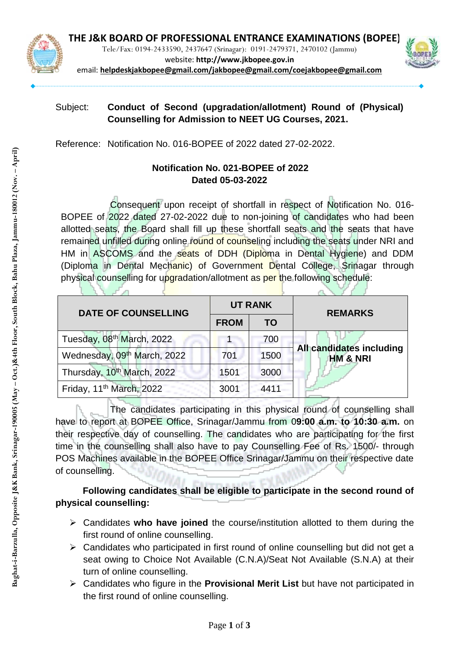

Tele/Fax: 0194-2433590, 2437647 (Srinagar): 0191-2479371, 2470102 (Jammu)



website: **http://www.jkbopee.gov.in** email: **[helpdeskjakbopee@gmail.com/j](mailto:helpdeskjakbopee@gmail.com/)akbopee@gmail.com/coejakbopee@gmail.com**

## Subject: **Conduct of Second (upgradation/allotment) Round of (Physical) Counselling for Admission to NEET UG Courses, 2021.**

Reference: Notification No. 016-BOPEE of 2022 dated 27-02-2022.

# **Notification No. 021-BOPEE of 2022 Dated 05-03-2022**

Consequent upon receipt of shortfall in respect of Notification No. 016- BOPEE of 2022 dated 27-02-2022 due to non-joining of candidates who had been allotted seats, the Board shall fill up these shortfall seats and the seats that have remained unfilled during online round of counseling including the seats under NRI and HM in ASCOMS and the seats of DDH (Diploma in Dental Hygiene) and DDM (Diploma in Dental Mechanic) of Government Dental College, Srinagar through physical counselling for upgradation/allotment as per the following schedule:

| <b>DATE OF COUNSELLING</b>             | <b>UT RANK</b> |      | <b>REMARKS</b>                                  |
|----------------------------------------|----------------|------|-------------------------------------------------|
|                                        | <b>FROM</b>    | TO   |                                                 |
| Tuesday, 08 <sup>th</sup> March, 2022  |                | 700  |                                                 |
| Wednesday, 09th March, 2022            | 701            | 1500 | All candidates including<br><b>HM &amp; NRI</b> |
| Thursday, 10 <sup>th</sup> March, 2022 | 1501           | 3000 |                                                 |
| Friday, 11 <sup>th</sup> March, 2022   | 3001           | 4411 |                                                 |

The candidates participating in this physical round of counselling shall have to report at BOPEE Office, Srinagar/Jammu from 0**9:00 a.m. to 10:30 a.m.** on their respective day of counselling. The candidates who are participating for the first time in the counselling shall also have to pay Counselling Fee of Rs. 1500/- through POS Machines available in the BOPEE Office Srinagar/Jammu on their respective date of counselling.

# **Following candidates shall be eligible to participate in the second round of physical counselling:**

- Candidates **who have joined** the course/institution allotted to them during the first round of online counselling.
- $\triangleright$  Candidates who participated in first round of online counselling but did not get a seat owing to Choice Not Available (C.N.A)/Seat Not Available (S.N.A) at their turn of online counselling.
- Candidates who figure in the **Provisional Merit List** but have not participated in the first round of online counselling.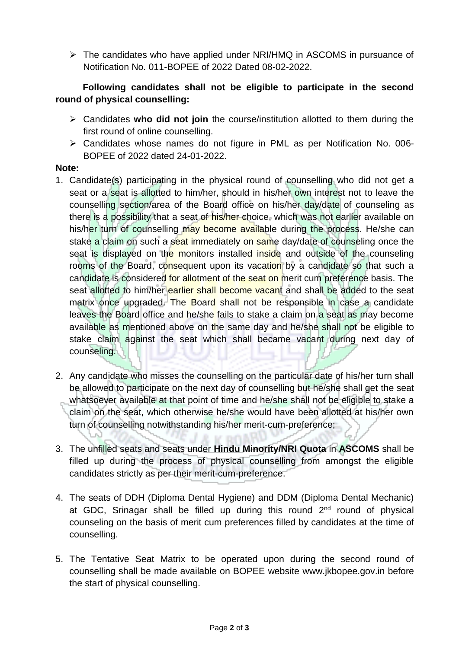$\triangleright$  The candidates who have applied under NRI/HMQ in ASCOMS in pursuance of Notification No. 011-BOPEE of 2022 Dated 08-02-2022.

### **Following candidates shall not be eligible to participate in the second round of physical counselling:**

- Candidates **who did not join** the course/institution allotted to them during the first round of online counselling.
- Candidates whose names do not figure in PML as per Notification No. 006- BOPEE of 2022 dated 24-01-2022.

#### **Note:**

- 1. Candidate(s) participating in the physical round of counselling who did not get a seat or a seat is allotted to him/her, should in his/her own interest not to leave the counselling section/area of the Board office on his/her day/date of counseling as there is a possibility that a seat of his/her choice, which was not earlier available on his/her turn of counselling may become available during the process. He/she can stake a claim on such a seat immediately on same day/date of counseling once the seat is displayed on the monitors installed inside and outside of the counseling rooms of the Board, consequent upon its vacation by a candidate so that such a candidate is considered for allotment of the seat on merit cum preference basis. The seat allotted to him/her earlier shall become vacant and shall be added to the seat matrix once upgraded. The Board shall not be responsible in case a candidate leaves the Board office and he/she fails to stake a claim on a seat as may become available as mentioned above on the same day and he/she shall not be eligible to stake claim against the seat which shall became vacant during next day of counseling.
- 2. Any candidate who misses the counselling on the particular date of his/her turn shall be allowed to participate on the next day of counselling but he/she shall get the seat whatsoever available at that point of time and he/she shall not be eligible to stake a claim on the seat, which otherwise he/she would have been allotted at his/her own turn of counselling notwithstanding his/her merit-cum-preference;
- 3. The unfilled seats and seats under **Hindu Minority/NRI Quota** in **ASCOMS** shall be filled up during the process of physical counselling from amongst the eligible candidates strictly as per their merit-cum-preference.
- 4. The seats of DDH (Diploma Dental Hygiene) and DDM (Diploma Dental Mechanic) at GDC, Srinagar shall be filled up during this round 2<sup>nd</sup> round of physical counseling on the basis of merit cum preferences filled by candidates at the time of counselling.
- 5. The Tentative Seat Matrix to be operated upon during the second round of counselling shall be made available on BOPEE website [www.jkbopee.gov.](http://www.jkbopee.gov/)in before the start of physical counselling.